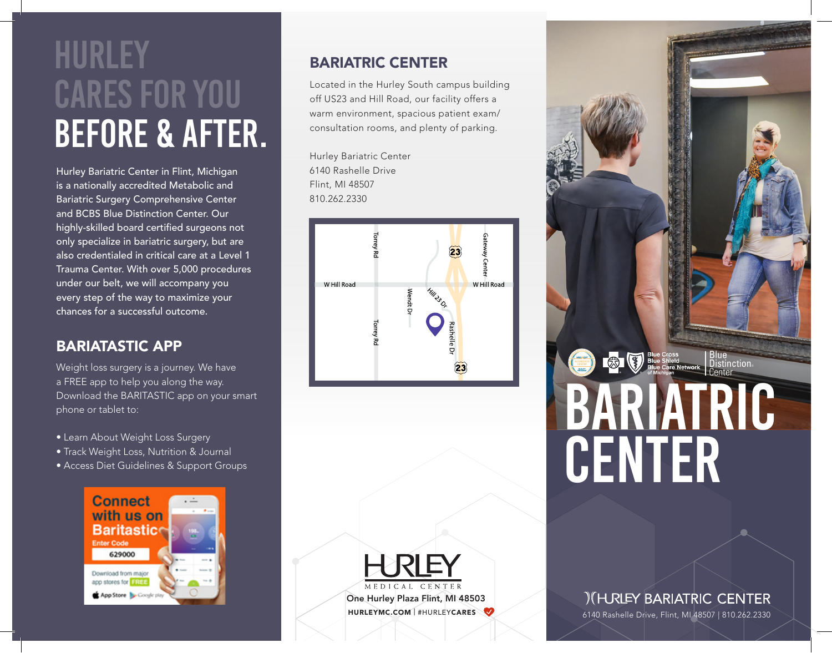# **HURLEY** cares for you before & after.

Hurley Bariatric Center in Flint, Michigan is a nationally accredited Metabolic and Bariatric Surgery Comprehensive Center and BCBS Blue Distinction Center. Our highly-skilled board certified surgeons not only specialize in bariatric surgery, but are also credentialed in critical care at a Level 1 Trauma Center. With over 5,000 procedures under our belt, we will accompany you every step of the way to maximize your chances for a successful outcome.

## BARIATASTIC APP

Weight loss surgery is a journey. We have a FREE app to help you along the way. Download the BARITASTIC app on your smart phone or tablet to:

- Learn About Weight Loss Surgery
- Track Weight Loss, Nutrition & Journal
- Access Diet Guidelines & Support Groups



## BARIATRIC CENTER

Located in the Hurley South campus building off US23 and Hill Road, our facility offers a warm environment, spacious patient exam/ consultation rooms, and plenty of parking.

Hurley Bariatric Center 6140 Rashelle Drive Flint, MI 48507 810.262.2330





**OB** Bue Shield<br>Busine Care Network Distinction. center

> **ICHURLEY BARIATRIC CENTER** 6140 Rashelle Drive, Flint, MI 48507 | 810.262.2330